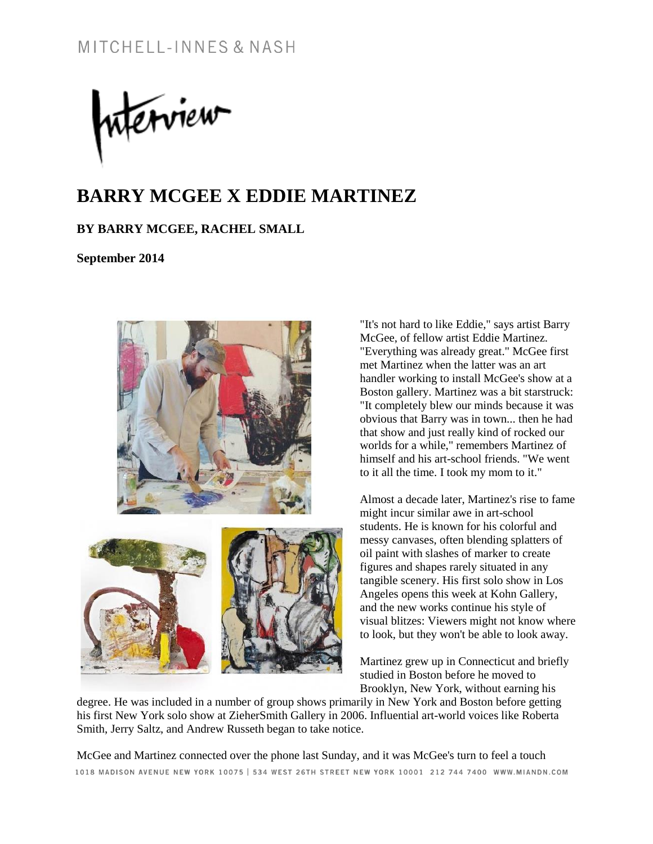merview

# **BARRY MCGEE X EDDIE MARTINEZ**

### **BY BARRY MCGEE, RACHEL SMALL**

**September 2014**



"It's not hard to like Eddie," says artist Barry McGee, of fellow artist Eddie Martinez. "Everything was already great." McGee first met Martinez when the latter was an art handler working to install McGee's show at a Boston gallery. Martinez was a bit starstruck: "It completely blew our minds because it was obvious that Barry was in town... then he had that show and just really kind of rocked our worlds for a while," remembers Martinez of himself and his art-school friends. "We went to it all the time. I took my mom to it."

Almost a decade later, Martinez's rise to fame might incur similar awe in art-school students. He is known for his colorful and messy canvases, often blending splatters of oil paint with slashes of marker to create figures and shapes rarely situated in any tangible scenery. His first solo show in Los Angeles opens this week at Kohn Gallery, and the new works continue his style of visual blitzes: Viewers might not know where to look, but they won't be able to look away.

Martinez grew up in Connecticut and briefly studied in Boston before he moved to Brooklyn, New York, without earning his

degree. He was included in a number of group shows primarily in New York and Boston before getting his first New York solo show at ZieherSmith Gallery in 2006. Influential art-world voices like Roberta Smith, Jerry Saltz, and Andrew Russeth began to take notice.

McGee and Martinez connected over the phone last Sunday, and it was McGee's turn to feel a touch 1018 MADISON AVENUE NEW YORK 10075 | 534 WEST 26TH STREET NEW YORK 10001 212 744 7400 WWW.MIANDN.COM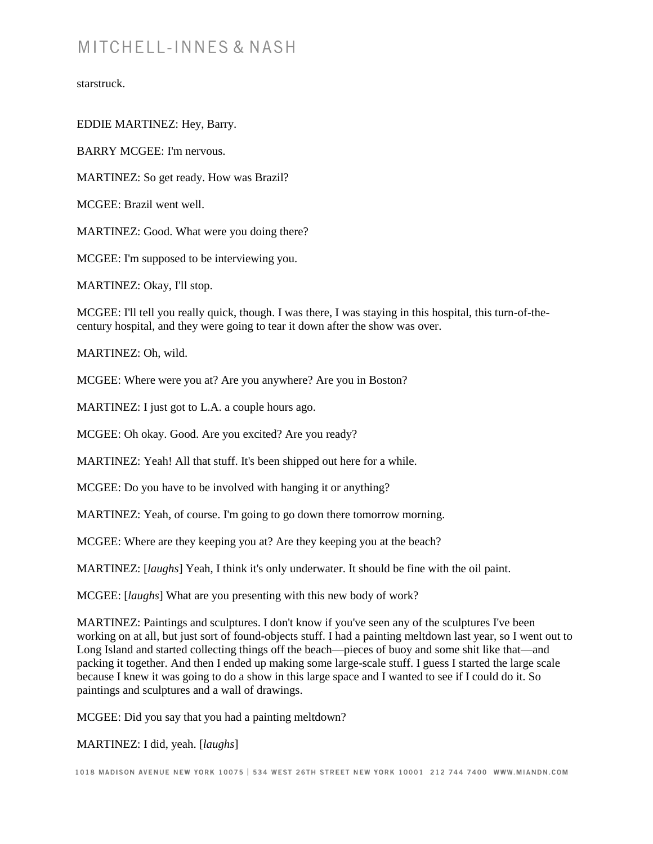starstruck.

EDDIE MARTINEZ: Hey, Barry.

BARRY MCGEE: I'm nervous.

MARTINEZ: So get ready. How was Brazil?

MCGEE: Brazil went well.

MARTINEZ: Good. What were you doing there?

MCGEE: I'm supposed to be interviewing you.

MARTINEZ: Okay, I'll stop.

MCGEE: I'll tell you really quick, though. I was there, I was staying in this hospital, this turn-of-thecentury hospital, and they were going to tear it down after the show was over.

MARTINEZ: Oh, wild.

MCGEE: Where were you at? Are you anywhere? Are you in Boston?

MARTINEZ: I just got to L.A. a couple hours ago.

MCGEE: Oh okay. Good. Are you excited? Are you ready?

MARTINEZ: Yeah! All that stuff. It's been shipped out here for a while.

MCGEE: Do you have to be involved with hanging it or anything?

MARTINEZ: Yeah, of course. I'm going to go down there tomorrow morning.

MCGEE: Where are they keeping you at? Are they keeping you at the beach?

MARTINEZ: [*laughs*] Yeah, I think it's only underwater. It should be fine with the oil paint.

MCGEE: [*laughs*] What are you presenting with this new body of work?

MARTINEZ: Paintings and sculptures. I don't know if you've seen any of the sculptures I've been working on at all, but just sort of found-objects stuff. I had a painting meltdown last year, so I went out to Long Island and started collecting things off the beach—pieces of buoy and some shit like that—and packing it together. And then I ended up making some large-scale stuff. I guess I started the large scale because I knew it was going to do a show in this large space and I wanted to see if I could do it. So paintings and sculptures and a wall of drawings.

MCGEE: Did you say that you had a painting meltdown?

MARTINEZ: I did, yeah. [*laughs*]

1018 MADISON AVENUE NEW YORK 10075 | 534 WEST 26TH STREET NEW YORK 10001 212 744 7400 WWW.MIANDN.COM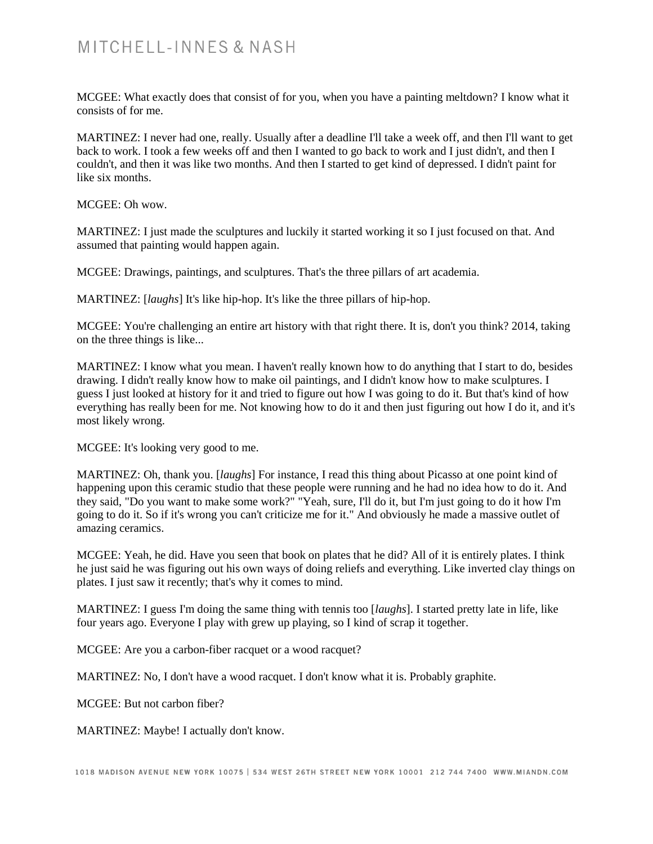MCGEE: What exactly does that consist of for you, when you have a painting meltdown? I know what it consists of for me.

MARTINEZ: I never had one, really. Usually after a deadline I'll take a week off, and then I'll want to get back to work. I took a few weeks off and then I wanted to go back to work and I just didn't, and then I couldn't, and then it was like two months. And then I started to get kind of depressed. I didn't paint for like six months.

MCGEE: Oh wow.

MARTINEZ: I just made the sculptures and luckily it started working it so I just focused on that. And assumed that painting would happen again.

MCGEE: Drawings, paintings, and sculptures. That's the three pillars of art academia.

MARTINEZ: [*laughs*] It's like hip-hop. It's like the three pillars of hip-hop.

MCGEE: You're challenging an entire art history with that right there. It is, don't you think? 2014, taking on the three things is like...

MARTINEZ: I know what you mean. I haven't really known how to do anything that I start to do, besides drawing. I didn't really know how to make oil paintings, and I didn't know how to make sculptures. I guess I just looked at history for it and tried to figure out how I was going to do it. But that's kind of how everything has really been for me. Not knowing how to do it and then just figuring out how I do it, and it's most likely wrong.

MCGEE: It's looking very good to me.

MARTINEZ: Oh, thank you. [*laughs*] For instance, I read this thing about Picasso at one point kind of happening upon this ceramic studio that these people were running and he had no idea how to do it. And they said, "Do you want to make some work?" "Yeah, sure, I'll do it, but I'm just going to do it how I'm going to do it. So if it's wrong you can't criticize me for it." And obviously he made a massive outlet of amazing ceramics.

MCGEE: Yeah, he did. Have you seen that book on plates that he did? All of it is entirely plates. I think he just said he was figuring out his own ways of doing reliefs and everything. Like inverted clay things on plates. I just saw it recently; that's why it comes to mind.

MARTINEZ: I guess I'm doing the same thing with tennis too [*laughs*]. I started pretty late in life, like four years ago. Everyone I play with grew up playing, so I kind of scrap it together.

MCGEE: Are you a carbon-fiber racquet or a wood racquet?

MARTINEZ: No, I don't have a wood racquet. I don't know what it is. Probably graphite.

MCGEE: But not carbon fiber?

MARTINEZ: Maybe! I actually don't know.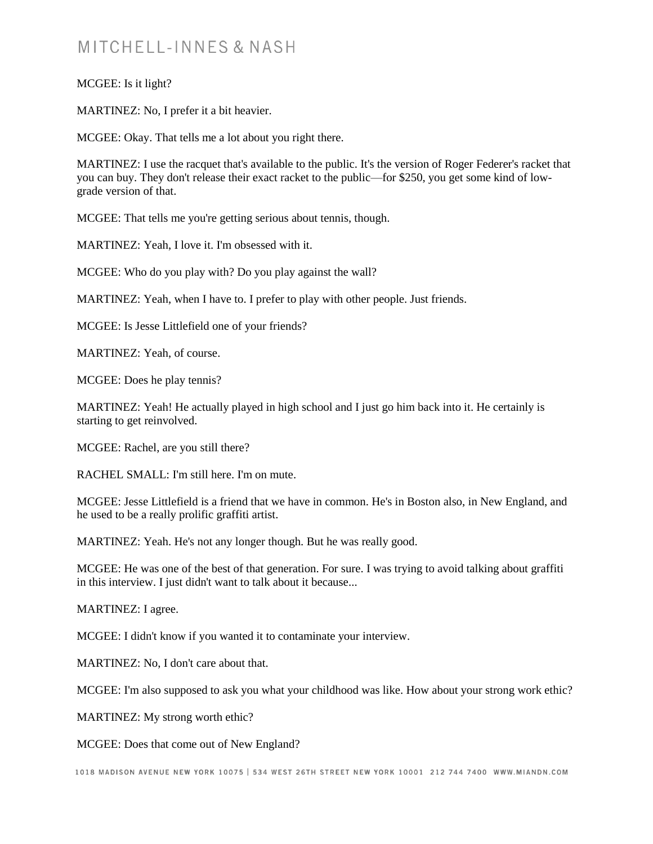#### MCGEE: Is it light?

MARTINEZ: No, I prefer it a bit heavier.

MCGEE: Okay. That tells me a lot about you right there.

MARTINEZ: I use the racquet that's available to the public. It's the version of Roger Federer's racket that you can buy. They don't release their exact racket to the public—for \$250, you get some kind of lowgrade version of that.

MCGEE: That tells me you're getting serious about tennis, though.

MARTINEZ: Yeah, I love it. I'm obsessed with it.

MCGEE: Who do you play with? Do you play against the wall?

MARTINEZ: Yeah, when I have to. I prefer to play with other people. Just friends.

MCGEE: Is Jesse Littlefield one of your friends?

MARTINEZ: Yeah, of course.

MCGEE: Does he play tennis?

MARTINEZ: Yeah! He actually played in high school and I just go him back into it. He certainly is starting to get reinvolved.

MCGEE: Rachel, are you still there?

RACHEL SMALL: I'm still here. I'm on mute.

MCGEE: Jesse Littlefield is a friend that we have in common. He's in Boston also, in New England, and he used to be a really prolific graffiti artist.

MARTINEZ: Yeah. He's not any longer though. But he was really good.

MCGEE: He was one of the best of that generation. For sure. I was trying to avoid talking about graffiti in this interview. I just didn't want to talk about it because...

MARTINEZ: I agree.

MCGEE: I didn't know if you wanted it to contaminate your interview.

MARTINEZ: No, I don't care about that.

MCGEE: I'm also supposed to ask you what your childhood was like. How about your strong work ethic?

MARTINEZ: My strong worth ethic?

MCGEE: Does that come out of New England?

1018 MADISON AVENUE NEW YORK 10075 | 534 WEST 26TH STREET NEW YORK 10001 212 744 7400 WWW.MIANDN.COM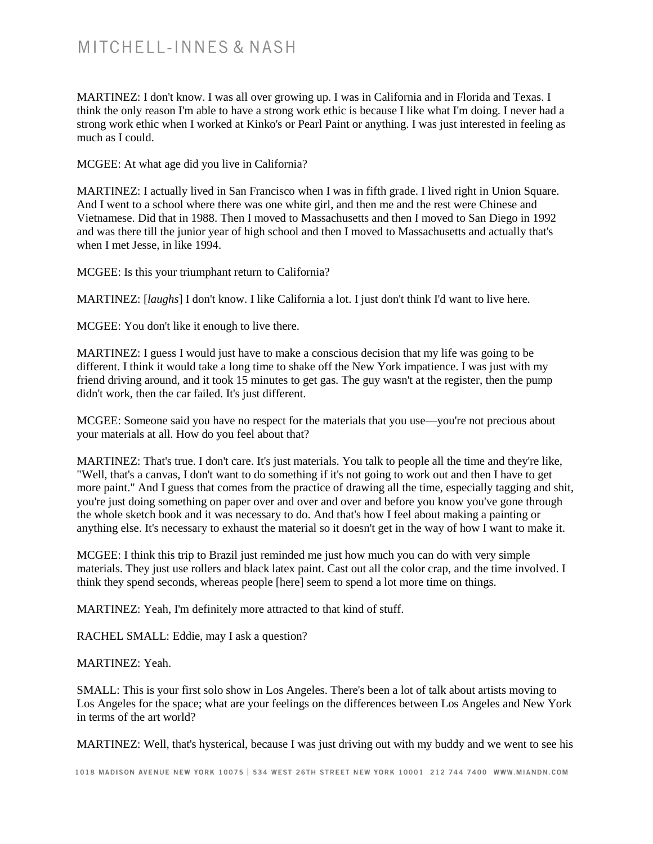MARTINEZ: I don't know. I was all over growing up. I was in California and in Florida and Texas. I think the only reason I'm able to have a strong work ethic is because I like what I'm doing. I never had a strong work ethic when I worked at Kinko's or Pearl Paint or anything. I was just interested in feeling as much as I could.

MCGEE: At what age did you live in California?

MARTINEZ: I actually lived in San Francisco when I was in fifth grade. I lived right in Union Square. And I went to a school where there was one white girl, and then me and the rest were Chinese and Vietnamese. Did that in 1988. Then I moved to Massachusetts and then I moved to San Diego in 1992 and was there till the junior year of high school and then I moved to Massachusetts and actually that's when I met Jesse, in like 1994.

MCGEE: Is this your triumphant return to California?

MARTINEZ: [*laughs*] I don't know. I like California a lot. I just don't think I'd want to live here.

MCGEE: You don't like it enough to live there.

MARTINEZ: I guess I would just have to make a conscious decision that my life was going to be different. I think it would take a long time to shake off the New York impatience. I was just with my friend driving around, and it took 15 minutes to get gas. The guy wasn't at the register, then the pump didn't work, then the car failed. It's just different.

MCGEE: Someone said you have no respect for the materials that you use—you're not precious about your materials at all. How do you feel about that?

MARTINEZ: That's true. I don't care. It's just materials. You talk to people all the time and they're like, "Well, that's a canvas, I don't want to do something if it's not going to work out and then I have to get more paint." And I guess that comes from the practice of drawing all the time, especially tagging and shit, you're just doing something on paper over and over and over and before you know you've gone through the whole sketch book and it was necessary to do. And that's how I feel about making a painting or anything else. It's necessary to exhaust the material so it doesn't get in the way of how I want to make it.

MCGEE: I think this trip to Brazil just reminded me just how much you can do with very simple materials. They just use rollers and black latex paint. Cast out all the color crap, and the time involved. I think they spend seconds, whereas people [here] seem to spend a lot more time on things.

MARTINEZ: Yeah, I'm definitely more attracted to that kind of stuff.

RACHEL SMALL: Eddie, may I ask a question?

#### MARTINEZ: Yeah.

SMALL: This is your first solo show in Los Angeles. There's been a lot of talk about artists moving to Los Angeles for the space; what are your feelings on the differences between Los Angeles and New York in terms of the art world?

MARTINEZ: Well, that's hysterical, because I was just driving out with my buddy and we went to see his

1018 MADISON AVENUE NEW YORK 10075 | 534 WEST 26TH STREET NEW YORK 10001 212 744 7400 WWW.MIANDN.COM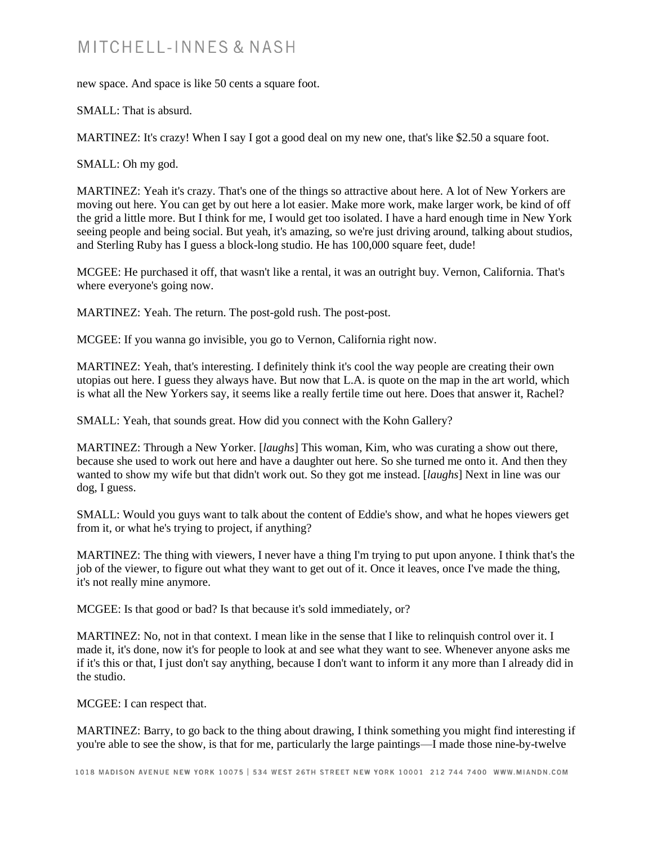new space. And space is like 50 cents a square foot.

SMALL: That is absurd.

MARTINEZ: It's crazy! When I say I got a good deal on my new one, that's like \$2.50 a square foot.

SMALL: Oh my god.

MARTINEZ: Yeah it's crazy. That's one of the things so attractive about here. A lot of New Yorkers are moving out here. You can get by out here a lot easier. Make more work, make larger work, be kind of off the grid a little more. But I think for me, I would get too isolated. I have a hard enough time in New York seeing people and being social. But yeah, it's amazing, so we're just driving around, talking about studios, and Sterling Ruby has I guess a block-long studio. He has 100,000 square feet, dude!

MCGEE: He purchased it off, that wasn't like a rental, it was an outright buy. Vernon, California. That's where everyone's going now.

MARTINEZ: Yeah. The return. The post-gold rush. The post-post.

MCGEE: If you wanna go invisible, you go to Vernon, California right now.

MARTINEZ: Yeah, that's interesting. I definitely think it's cool the way people are creating their own utopias out here. I guess they always have. But now that L.A. is quote on the map in the art world, which is what all the New Yorkers say, it seems like a really fertile time out here. Does that answer it, Rachel?

SMALL: Yeah, that sounds great. How did you connect with the Kohn Gallery?

MARTINEZ: Through a New Yorker. [*laughs*] This woman, Kim, who was curating a show out there, because she used to work out here and have a daughter out here. So she turned me onto it. And then they wanted to show my wife but that didn't work out. So they got me instead. [*laughs*] Next in line was our dog, I guess.

SMALL: Would you guys want to talk about the content of Eddie's show, and what he hopes viewers get from it, or what he's trying to project, if anything?

MARTINEZ: The thing with viewers, I never have a thing I'm trying to put upon anyone. I think that's the job of the viewer, to figure out what they want to get out of it. Once it leaves, once I've made the thing, it's not really mine anymore.

MCGEE: Is that good or bad? Is that because it's sold immediately, or?

MARTINEZ: No, not in that context. I mean like in the sense that I like to relinquish control over it. I made it, it's done, now it's for people to look at and see what they want to see. Whenever anyone asks me if it's this or that, I just don't say anything, because I don't want to inform it any more than I already did in the studio.

MCGEE: I can respect that.

MARTINEZ: Barry, to go back to the thing about drawing, I think something you might find interesting if you're able to see the show, is that for me, particularly the large paintings—I made those nine-by-twelve